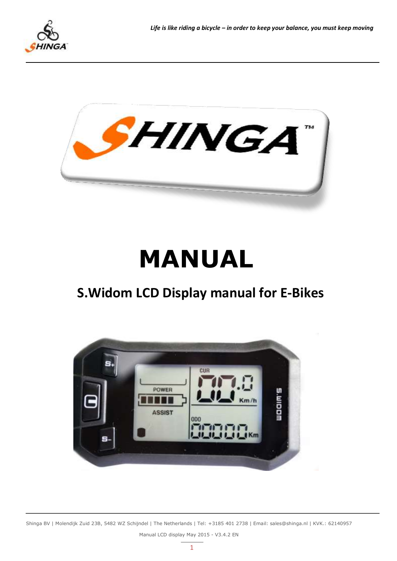



# **MANUAL**

# **S.Widom LCD Display manual for E-Bikes**



Shinga BV | Molendijk Zuid 23B, 5482 WZ Schijndel | The Netherlands | Tel: +3185 401 2738 | Email: sales@shinga.nl | KVK.: 62140957 Manual LCD display May 2015 - V3.4.2 EN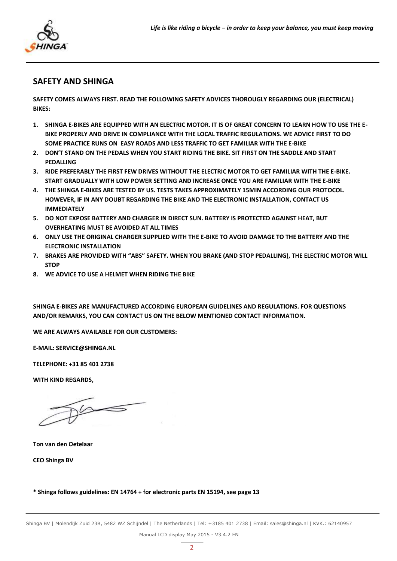

## **SAFETY AND SHINGA**

**SAFETY COMES ALWAYS FIRST. READ THE FOLLOWING SAFETY ADVICES THOROUGLY REGARDING OUR (ELECTRICAL) BIKES:**

- **1. SHINGA E-BIKES ARE EQUIPPED WITH AN ELECTRIC MOTOR. IT IS OF GREAT CONCERN TO LEARN HOW TO USE THE E-BIKE PROPERLY AND DRIVE IN COMPLIANCE WITH THE LOCAL TRAFFIC REGULATIONS. WE ADVICE FIRST TO DO SOME PRACTICE RUNS ON EASY ROADS AND LESS TRAFFIC TO GET FAMILIAR WITH THE E-BIKE**
- **2. DON'T STAND ON THE PEDALS WHEN YOU START RIDING THE BIKE. SIT FIRST ON THE SADDLE AND START PEDALLING**
- **3. RIDE PREFERABLY THE FIRST FEW DRIVES WITHOUT THE ELECTRIC MOTOR TO GET FAMILIAR WITH THE E-BIKE. START GRADUALLY WITH LOW POWER SETTING AND INCREASE ONCE YOU ARE FAMILIAR WITH THE E-BIKE**
- **4. THE SHINGA E-BIKES ARE TESTED BY US. TESTS TAKES APPROXIMATELY 15MIN ACCORDING OUR PROTOCOL. HOWEVER, IF IN ANY DOUBT REGARDING THE BIKE AND THE ELECTRONIC INSTALLATION, CONTACT US IMMEDIATELY**
- **5. DO NOT EXPOSE BATTERY AND CHARGER IN DIRECT SUN. BATTERY IS PROTECTED AGAINST HEAT, BUT OVERHEATING MUST BE AVOIDED AT ALL TIMES**
- **6. ONLY USE THE ORIGINAL CHARGER SUPPLIED WITH THE E-BIKE TO AVOID DAMAGE TO THE BATTERY AND THE ELECTRONIC INSTALLATION**
- **7. BRAKES ARE PROVIDED WITH "ABS" SAFETY. WHEN YOU BRAKE (AND STOP PEDALLING), THE ELECTRIC MOTOR WILL STOP**
- **8. WE ADVICE TO USE A HELMET WHEN RIDING THE BIKE**

**SHINGA E-BIKES ARE MANUFACTURED ACCORDING EUROPEAN GUIDELINES AND REGULATIONS. FOR QUESTIONS AND/OR REMARKS, YOU CAN CONTACT US ON THE BELOW MENTIONED CONTACT INFORMATION.**

**WE ARE ALWAYS AVAILABLE FOR OUR CUSTOMERS:**

**E-MAIL: SERVICE@SHINGA.NL**

**TELEPHONE** 

**WITH KIND REGARDS,**

**Ton van den Oetelaar**

**CEO Shinga BV**

#### **\* Shinga follows guidelines: EN 14764 + for electronic parts EN 15194, see page 13**

Shinga BV | Molendijk Zuid 23B, 5482 WZ Schijndel | The Netherlands | Tel: +3185 401 2738 | Email: sales@shinga.nl | KVK.: 62140957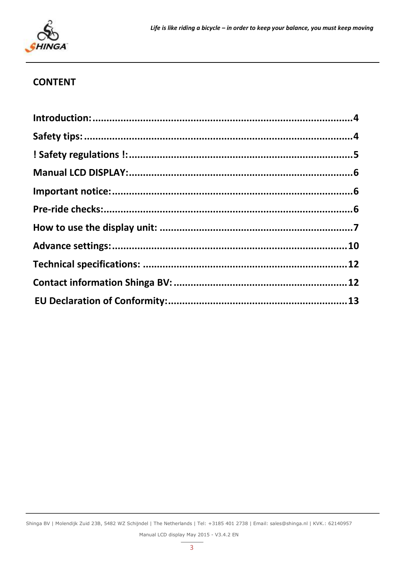

# **CONTENT**

Shinga BV | Molendijk Zuid 23B, 5482 WZ Schijndel | The Netherlands | Tel: +3185 401 2738 | Email: sales@shinga.nl | KVK.: 62140957 Manual LCD display May 2015 - V3.4.2 EN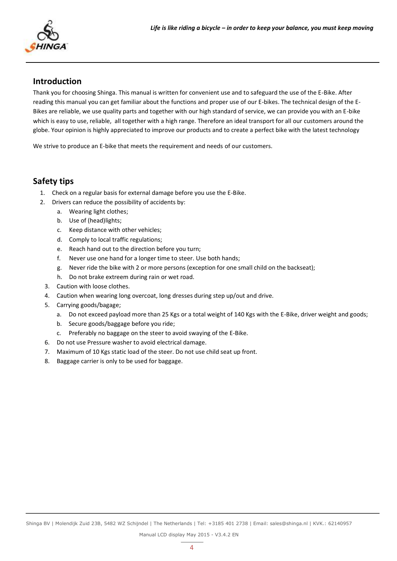# <span id="page-3-0"></span>**Introduction**

Thank you for choosing Shinga. This manual is written for convenient use and to safeguard the use of the E-Bike. After reading this manual you can get familiar about the functions and proper use of our E-bikes. The technical design of the E-Bikes are reliable, we use quality parts and together with our high standard of service, we can provide you with an E-bike which is easy to use, reliable, all together with a high range. Therefore an ideal transport for all our customers around the globe. Your opinion is highly appreciated to improve our products and to create a perfect bike with the latest technology

We strive to produce an E-bike that meets the requirement and needs of our customers.

## <span id="page-3-1"></span>**Safety tips**

- 1. Check on a regular basis for external damage before you use the E-Bike.
- 2. Drivers can reduce the possibility of accidents by:
	- a. Wearing light clothes;
	- b. Use of (head)lights;
	- c. Keep distance with other vehicles;
	- d. Comply to local traffic regulations;
	- e. Reach hand out to the direction before you turn;
	- f. Never use one hand for a longer time to steer. Use both hands;
	- g. Never ride the bike with 2 or more persons (exception for one small child on the backseat);
	- h. Do not brake extreem during rain or wet road.
	- 3. Caution with loose clothes.
	- 4. Caution when wearing long overcoat, long dresses during step up/out and drive.
	- 5. Carrying goods/bagage;
		- a. Do not exceed payload more than 25 Kgs or a total weight of 140 Kgs with the E-Bike, driver weight and goods;
		- b. Secure goods/baggage before you ride;
		- c. Preferably no baggage on the steer to avoid swaying of the E-Bike.
	- 6. Do not use Pressure washer to avoid electrical damage.
	- 7. Maximum of 10 Kgs static load of the steer. Do not use child seat up front.
	- 8. Baggage carrier is only to be used for baggage.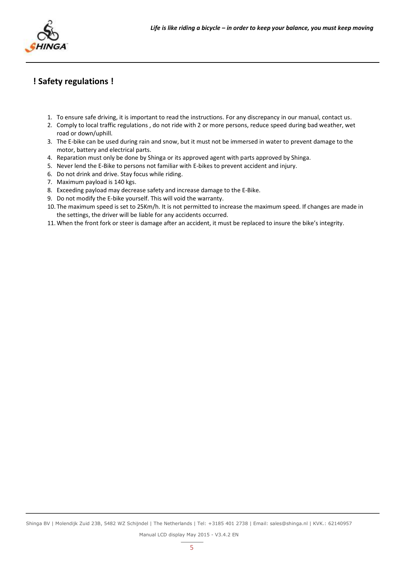# <span id="page-4-0"></span>**! Safety regulations !**

- 1. To ensure safe driving, it is important to read the instructions. For any discrepancy in our manual, contact us.
- 2. Comply to local traffic regulations , do not ride with 2 or more persons, reduce speed during bad weather, wet road or down/uphill.
- 3. The E-bike can be used during rain and snow, but it must not be immersed in water to prevent damage to the motor, battery and electrical parts.
- 4. Reparation must only be done by Shinga or its approved agent with parts approved by Shinga.
- 5. Never lend the E-Bike to persons not familiar with E-bikes to prevent accident and injury.
- 6. Do not drink and drive. Stay focus while riding.
- 7. Maximum payload is 140 kgs.
- 8. Exceeding payload may decrease safety and increase damage to the E-Bike.
- 9. Do not modify the E-bike yourself. This will void the warranty.
- 10. The maximum speed is set to 25Km/h. It is not permitted to increase the maximum speed. If changes are made in the settings, the driver will be liable for any accidents occurred.
- 11.When the front fork or steer is damage after an accident, it must be replaced to insure the bike's integrity.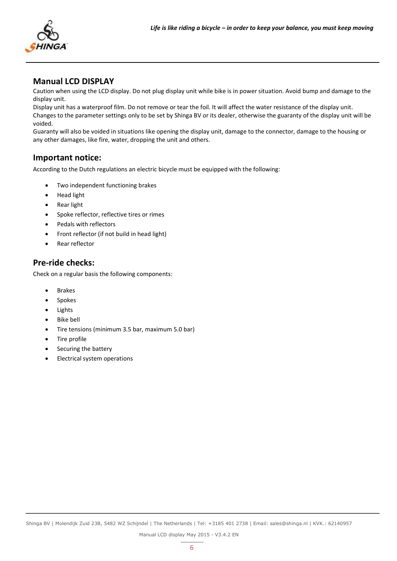

# **Manual LCD DISPLAY**

Caution when using the LCD display. Do not plug display unit while bike is in power situation. Avoid bump and damage to the display unit.

Display unit has a waterproof film. Do not remove or tear the foil. It will affect the water resistance of the display unit. Changes to the parameter settings only to be set by Shinga BV or its dealer, otherwise the guaranty of the display unit will be voided.

Guaranty will also be voided in situations like opening the display unit, damage to the connector, damage to the housing or any other damages, like fire, water, dropping the unit and others.

# <span id="page-5-0"></span>**Important notice:**

According to the Dutch regulations an electric bicycle must be equipped with the following:

- Two independent functioning brakes
- Head light
- Rear light
- Spoke reflector, reflective tires or rimes
- Pedals with reflectors
- Front reflector (if not build in head light)
- Rear reflector

# <span id="page-5-1"></span>**Pre-ride checks:**

Check on a regular basis the following components:

- Brakes
- Spokes
- Lights
- Bike bell
- Tire tensions (minimum 3.5 bar, maximum 5.0 bar)
- Tire profile
- Securing the battery
- Electrical system operations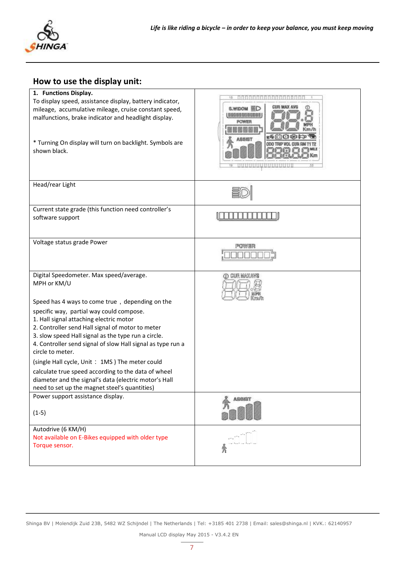

# <span id="page-6-0"></span>**How to use the display unit:**

| 1. Functions Display.<br>To display speed, assistance display, battery indicator,<br>mileage, accumulative mileage, cruise constant speed,<br>malfunctions, brake indicator and headlight display.<br>* Turning On display will turn on backlight. Symbols are<br>shown black.                                                                                                                                                                                                                                                                                                                                                                                    | CUR MAX AVA<br>S.WIDOM <b>ED</b><br>1055988888848<br><b>POWER</b><br>188151 |
|-------------------------------------------------------------------------------------------------------------------------------------------------------------------------------------------------------------------------------------------------------------------------------------------------------------------------------------------------------------------------------------------------------------------------------------------------------------------------------------------------------------------------------------------------------------------------------------------------------------------------------------------------------------------|-----------------------------------------------------------------------------|
| Head/rear Light                                                                                                                                                                                                                                                                                                                                                                                                                                                                                                                                                                                                                                                   |                                                                             |
| Current state grade (this function need controller's<br>software support                                                                                                                                                                                                                                                                                                                                                                                                                                                                                                                                                                                          |                                                                             |
| Voltage status grade Power                                                                                                                                                                                                                                                                                                                                                                                                                                                                                                                                                                                                                                        | POWER                                                                       |
| Digital Speedometer. Max speed/average.<br>MPH or KM/U<br>Speed has 4 ways to come true, depending on the<br>specific way, partial way could compose.<br>1. Hall signal attaching electric motor<br>2. Controller send Hall signal of motor to meter<br>3. slow speed Hall signal as the type run a circle.<br>4. Controller send signal of slow Hall signal as type run a<br>circle to meter.<br>(single Hall cycle, Unit: 1MS) The meter could<br>calculate true speed according to the data of wheel<br>diameter and the signal's data (electric motor's Hall<br>need to set up the magnet steel's quantities)<br>Power support assistance display.<br>$(1-5)$ | (D) CUR MAXAWA<br><b>ASSIST</b>                                             |
| Autodrive (6 KM/H)<br>Not available on E-Bikes equipped with older type<br>Torque sensor.                                                                                                                                                                                                                                                                                                                                                                                                                                                                                                                                                                         |                                                                             |

Shinga BV | Molendijk Zuid 23B, 5482 WZ Schijndel | The Netherlands | Tel: +3185 401 2738 | Email: sales@shinga.nl | KVK.: 62140957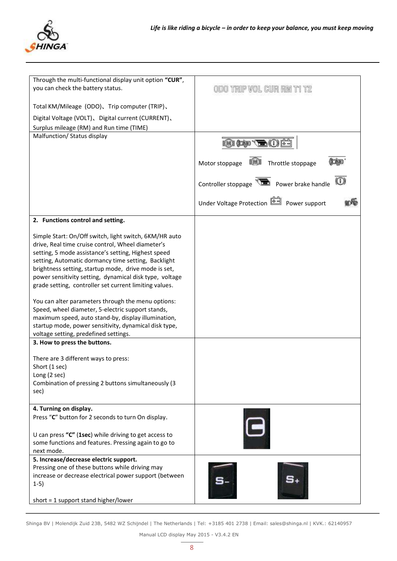

| Through the multi-functional display unit option "CUR", |                                                        |
|---------------------------------------------------------|--------------------------------------------------------|
| you can check the battery status.                       | odo trip vol cur rm ti tz                              |
|                                                         |                                                        |
| Total KM/Mileage (ODO), Trip computer (TRIP),           |                                                        |
| Digital Voltage (VOLT), Digital current (CURRENT),      |                                                        |
|                                                         |                                                        |
| Surplus mileage (RM) and Run time (TIME)                |                                                        |
| Malfunction/ Status display                             |                                                        |
|                                                         |                                                        |
|                                                         |                                                        |
|                                                         | Throttle stoppage<br>Motor stoppage                    |
|                                                         |                                                        |
|                                                         | Controller stoppage <b>That</b> Power brake handle     |
|                                                         |                                                        |
|                                                         | Under Voltage Protection <sup>[41]</sup> Power support |
| 2. Functions control and setting.                       |                                                        |
|                                                         |                                                        |
| Simple Start: On/Off switch, light switch, 6KM/HR auto  |                                                        |
| drive, Real time cruise control, Wheel diameter's       |                                                        |
| setting, 5 mode assistance's setting, Highest speed     |                                                        |
| setting, Automatic dormancy time setting, Backlight     |                                                        |
| brightness setting, startup mode, drive mode is set,    |                                                        |
| power sensitivity setting, dynamical disk type, voltage |                                                        |
|                                                         |                                                        |
| grade setting, controller set current limiting values.  |                                                        |
|                                                         |                                                        |
| You can alter parameters through the menu options:      |                                                        |
| Speed, wheel diameter, 5-electric support stands,       |                                                        |
| maximum speed, auto stand-by, display illumination,     |                                                        |
| startup mode, power sensitivity, dynamical disk type,   |                                                        |
| voltage setting, predefined settings.                   |                                                        |
| 3. How to press the buttons.                            |                                                        |
|                                                         |                                                        |
| There are 3 different ways to press:                    |                                                        |
| Short (1 sec)                                           |                                                        |
| Long (2 sec)                                            |                                                        |
| Combination of pressing 2 buttons simultaneously (3     |                                                        |
| sec)                                                    |                                                        |
|                                                         |                                                        |
| 4. Turning on display.                                  |                                                        |
| Press "C" button for 2 seconds to turn On display.      |                                                        |
|                                                         |                                                        |
| U can press "C" (1sec) while driving to get access to   |                                                        |
| some functions and features. Pressing again to go to    |                                                        |
| next mode.                                              |                                                        |
| 5. Increase/decrease electric support.                  |                                                        |
| Pressing one of these buttons while driving may         |                                                        |
|                                                         |                                                        |
| increase or decrease electrical power support (between  |                                                        |
| $1-5)$                                                  |                                                        |
|                                                         |                                                        |
| short = $1$ support stand higher/lower                  |                                                        |

Shinga BV | Molendijk Zuid 23B, 5482 WZ Schijndel | The Netherlands | Tel: +3185 401 2738 | Email: sales@shinga.nl | KVK.: 62140957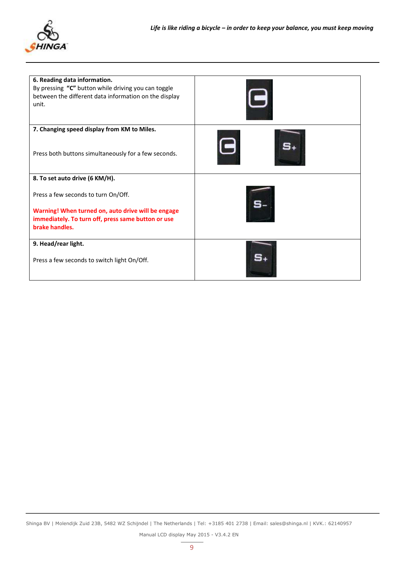

| 6. Reading data information.<br>By pressing "C" button while driving you can toggle<br>between the different data information on the display<br>unit. |  |
|-------------------------------------------------------------------------------------------------------------------------------------------------------|--|
| 7. Changing speed display from KM to Miles.<br>Press both buttons simultaneously for a few seconds.                                                   |  |
| 8. To set auto drive (6 KM/H).                                                                                                                        |  |
| Press a few seconds to turn On/Off.                                                                                                                   |  |
| Warning! When turned on, auto drive will be engage<br>immediately. To turn off, press same button or use<br>brake handles.                            |  |
| 9. Head/rear light.                                                                                                                                   |  |
| Press a few seconds to switch light On/Off.                                                                                                           |  |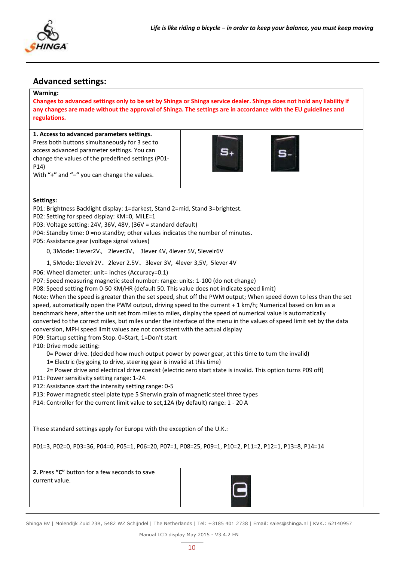

### **Advanced settings:**

#### **Warning:**

**Changes to advanced settings only to be set by Shinga or Shinga service dealer. Shinga does not hold any liability if any changes are made without the approval of Shinga. The settings are in accordance with the EU guidelines and regulations.**

#### **. Access to advanced parameters settings.**

Press both buttons simultaneously for 3 sec to access advanced parameter settings. You can change the values of the predefined settings (P01- P14) With **"+"** and **"–"** you can change the values.





#### **Settings:**

P01: Brightness Backlight display: 1=darkest, Stand 2=mid, Stand 3=brightest.

- P02: Setting for speed display: KM=0, MILE=1
- P03: Voltage setting: 24V, 36V, 48V, (36V = standard default)
- P04: Standby time: 0 =no standby; other values indicates the number of minutes.

P05: Assistance gear (voltage signal values)

- 0, 3Mode: 1lever2V、 2lever3V、 3lever 4V, 4lever 5V, 5levelr6V
- 1, 5Mode: 1levelr2V、2lever 2.5V、3lever 3V, 4lever 3,5V, 5lever 4V

P06: Wheel diameter: unit= inches (Accuracy=0.1)

P07: Speed measuring magnetic steel number: range: units: 1-100 (do not change)

P08: Speed setting from 0-50 KM/HR (default 50. This value does not indicate speed limit)

Note: When the speed is greater than the set speed, shut off the PWM output; When speed down to less than the set speed, automatically open the PWM output, driving speed to the current + 1 km/h; Numerical based on km as a benchmark here, after the unit set from miles to miles, display the speed of numerical value is automatically converted to the correct miles, but miles under the interface of the menu in the values of speed limit set by the data conversion, MPH speed limit values are not consistent with the actual display

P09: Startup setting from Stop. 0=Start, 1=Don't start

P10: Drive mode setting:

- 0= Power drive. (decided how much output power by power gear, at this time to turn the invalid)
- 1= Electric (by going to drive, steering gear is invalid at this time)
- 2= Power drive and electrical drive coexist (electric zero start state is invalid. This option turns P09 off)
- P11: Power sensitivity setting range: 1-24.
- P12: Assistance start the intensity setting range: 0-5
- P13: Power magnetic steel plate type 5 Sherwin grain of magnetic steel three types
- P14: Controller for the current limit value to set,12A (by default) range: 1 20 A

These standard settings apply for Europe with the exception of the U.K.:

P01=3, P02=0, P03=36, P04=0, P05=1, P06=20, P07=1, P08=25, P09=1, P10=2, P11=2, P12=1, P13=8, P14=14

**2.** Press "C" button for a few seconds to save current value.



Shinga BV | Molendijk Zuid 23B, 5482 WZ Schijndel | The Netherlands | Tel: +3185 401 2738 | Email: sales@shinga.nl | KVK.: 62140957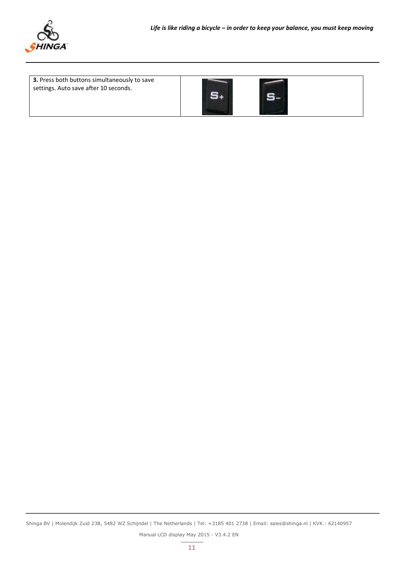

<span id="page-10-0"></span>

| 3. Press both buttons simultaneously to save<br>settings. Auto save after 10 seconds. |  |  |
|---------------------------------------------------------------------------------------|--|--|
|                                                                                       |  |  |

Shinga BV | Molendijk Zuid 23B, 5482 WZ Schijndel | The Netherlands | Tel: +3185 401 2738 | Email: sales@shinga.nl | KVK.: 62140957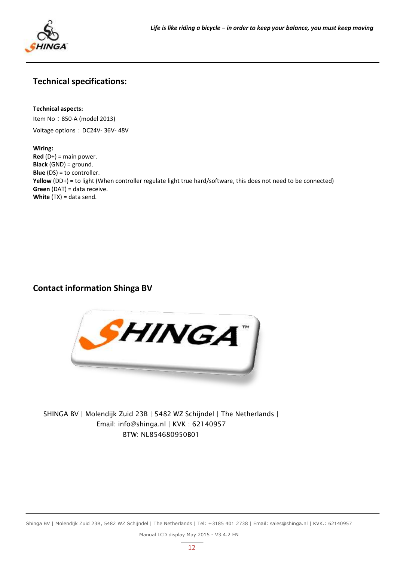

# **Technical specifications:**

#### **Technical aspects:**

Item No:850-A (model 2013)

Voltage options: DC24V- 36V- 48V

#### **Wiring:**

**Red** (D+) = main power. **Black** (GND) = ground. **Blue** (DS) = to controller. **Yellow** (DD+) = to light (When controller regulate light true hard/software, this does not need to be connected) **Green** (DAT) = data receive. **White** (TX) = data send.

# <span id="page-11-0"></span>**Contact information Shinga BV**



SHINGA BV | Molendijk Zuid 23B | 5482 WZ Schijndel | The Netherlands | Email: info@shinga.nl | KVK : 62140957 BTW: NL854680950B01

Shinga BV | Molendijk Zuid 23B, 5482 WZ Schijndel | The Netherlands | Tel: +3185 401 2738 | Email: sales@shinga.nl | KVK.: 62140957